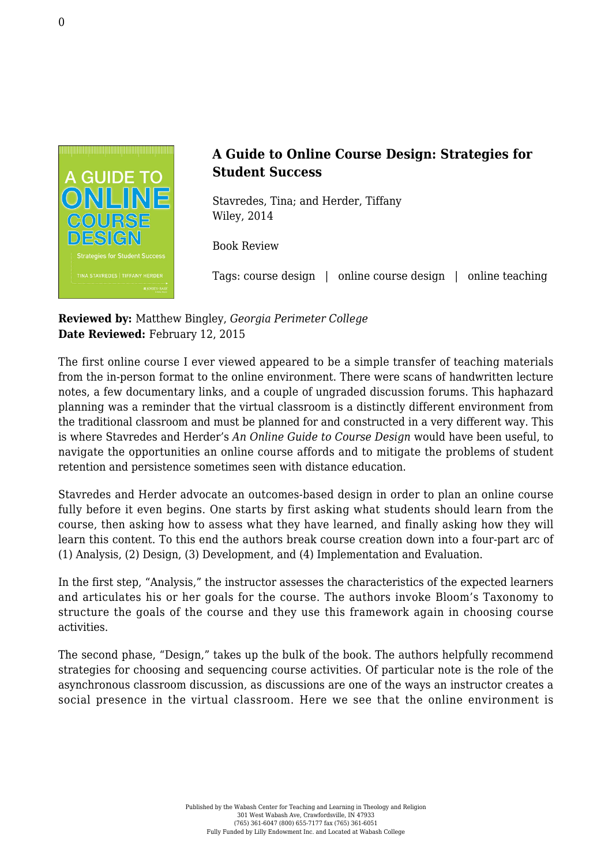

## **A Guide to Online Course Design: Strategies for Student Success**

Stavredes, Tina; and Herder, Tiffany [Wiley, 2014](http://www.wiley.com/WileyCDA/WileyTitle/productCd-1118462661.html)

Book Review

Tags: course design | online course design | online teaching

## **Reviewed by:** Matthew Bingley, *Georgia Perimeter College* **Date Reviewed:** February 12, 2015

The first online course I ever viewed appeared to be a simple transfer of teaching materials from the in-person format to the online environment. There were scans of handwritten lecture notes, a few documentary links, and a couple of ungraded discussion forums. This haphazard planning was a reminder that the virtual classroom is a distinctly different environment from the traditional classroom and must be planned for and constructed in a very different way. This is where Stavredes and Herder's *An Online Guide to Course Design* would have been useful, to navigate the opportunities an online course affords and to mitigate the problems of student retention and persistence sometimes seen with distance education.

Stavredes and Herder advocate an outcomes-based design in order to plan an online course fully before it even begins. One starts by first asking what students should learn from the course, then asking how to assess what they have learned, and finally asking how they will learn this content. To this end the authors break course creation down into a four-part arc of (1) Analysis, (2) Design, (3) Development, and (4) Implementation and Evaluation.

In the first step, "Analysis," the instructor assesses the characteristics of the expected learners and articulates his or her goals for the course. The authors invoke Bloom's Taxonomy to structure the goals of the course and they use this framework again in choosing course activities.

The second phase, "Design," takes up the bulk of the book. The authors helpfully recommend strategies for choosing and sequencing course activities. Of particular note is the role of the asynchronous classroom discussion, as discussions are one of the ways an instructor creates a social presence in the virtual classroom. Here we see that the online environment is